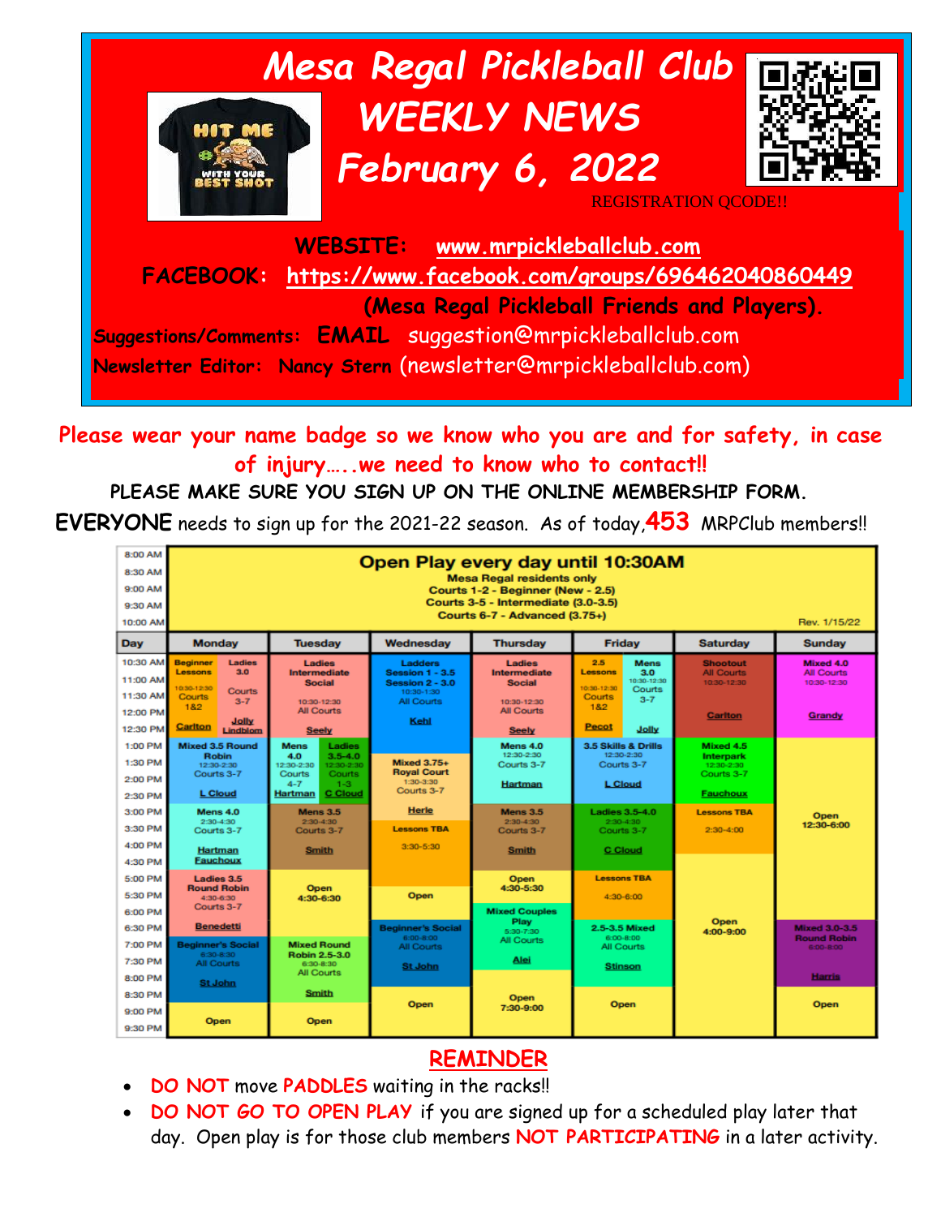

**Please wear your name badge so we know who you are and for safety, in case of injury…..we need to know who to contact!!**

#### **PLEASE MAKE SURE YOU SIGN UP ON THE ONLINE MEMBERSHIP FORM.**

**EVERYONE** needs to sign up for the 2021-22 season. As of today,**453** MRPClub members!!



## **REMINDER**

- **DO NOT** move **PADDLES** waiting in the racks!!
- **DO NOT GO TO OPEN PLAY** if you are signed up for a scheduled play later that day. Open play is for those club members **NOT PARTICIPATING** in a later activity.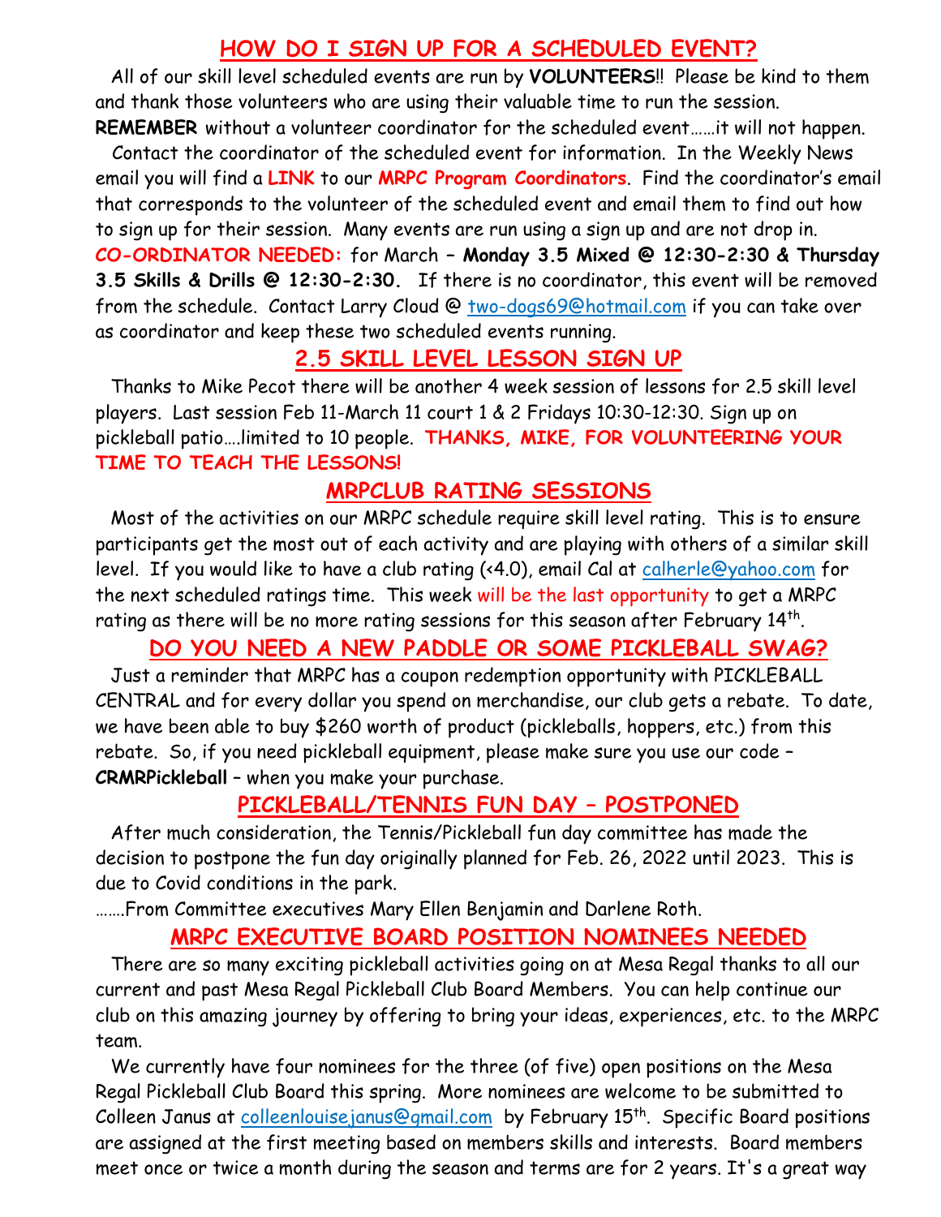## **HOW DO I SIGN UP FOR A SCHEDULED EVENT?**

All of our skill level scheduled events are run by **VOLUNTEERS**!! Please be kind to them and thank those volunteers who are using their valuable time to run the session. **REMEMBER** without a volunteer coordinator for the scheduled event……it will not happen.

 Contact the coordinator of the scheduled event for information. In the Weekly News email you will find a **LINK** to our **MRPC Program Coordinators**. Find the coordinator's email that corresponds to the volunteer of the scheduled event and email them to find out how to sign up for their session. Many events are run using a sign up and are not drop in. **CO-ORDINATOR NEEDED:** for March **– Monday 3.5 Mixed @ 12:30-2:30 & Thursday 3.5 Skills & Drills @ 12:30-2:30.** If there is no coordinator, this event will be removed from the schedule. Contact Larry Cloud @ [two-dogs69@hotmail.com](mailto:two-dogs69@hotmail.com) if you can take over as coordinator and keep these two scheduled events running.

#### **2.5 SKILL LEVEL LESSON SIGN UP**

Thanks to Mike Pecot there will be another 4 week session of lessons for 2.5 skill level players. Last session Feb 11-March 11 court 1 & 2 Fridays 10:30-12:30. Sign up on pickleball patio….limited to 10 people. **THANKS, MIKE, FOR VOLUNTEERING YOUR TIME TO TEACH THE LESSONS!**

#### **MRPCLUB RATING SESSIONS**

Most of the activities on our MRPC schedule require skill level rating. This is to ensure participants get the most out of each activity and are playing with others of a similar skill level. If you would like to have a club rating (<4.0), email Cal at [calherle@yahoo.com](mailto:calherle@yahoo.com) for the next scheduled ratings time. This week will be the last opportunity to get a MRPC rating as there will be no more rating sessions for this season after February  $14^{\rm th}$ .

#### **DO YOU NEED A NEW PADDLE OR SOME PICKLEBALL SWAG?**

Just a reminder that MRPC has a coupon redemption opportunity with PICKLEBALL CENTRAL and for every dollar you spend on merchandise, our club gets a rebate. To date, we have been able to buy \$260 worth of product (pickleballs, hoppers, etc.) from this rebate. So, if you need pickleball equipment, please make sure you use our code – **CRMRPickleball** – when you make your purchase.

## **PICKLEBALL/TENNIS FUN DAY – POSTPONED**

After much consideration, the Tennis/Pickleball fun day committee has made the decision to postpone the fun day originally planned for Feb. 26, 2022 until 2023. This is due to Covid conditions in the park.

…….From Committee executives Mary Ellen Benjamin and Darlene Roth.

#### **MRPC EXECUTIVE BOARD POSITION NOMINEES NEEDED**

There are so many exciting pickleball activities going on at Mesa Regal thanks to all our current and past Mesa Regal Pickleball Club Board Members. You can help continue our club on this amazing journey by offering to bring your ideas, experiences, etc. to the MRPC team.

We currently have four nominees for the three (of five) open positions on the Mesa Regal Pickleball Club Board this spring. More nominees are welcome to be submitted to Colleen Janus at [colleenlouisejanus@gmail.com](mailto:colleenlouisejanus@gmail.com) by February 15<sup>th</sup>. Specific Board positions are assigned at the first meeting based on members skills and interests. Board members meet once or twice a month during the season and terms are for 2 years. It's a great way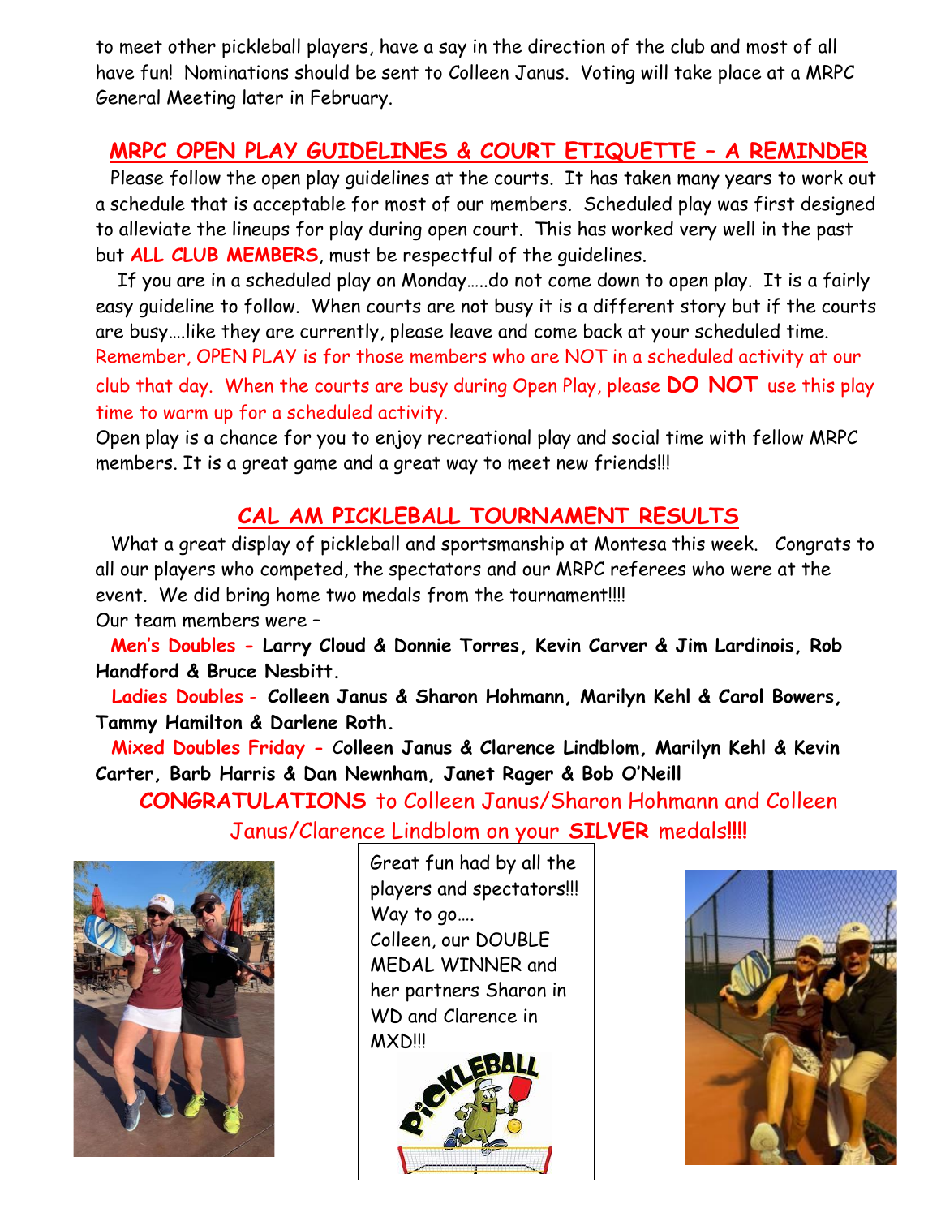to meet other pickleball players, have a say in the direction of the club and most of all have fun! Nominations should be sent to Colleen Janus. Voting will take place at a MRPC General Meeting later in February.

## **MRPC OPEN PLAY GUIDELINES & COURT ETIQUETTE – A REMINDER**

Please follow the open play guidelines at the courts. It has taken many years to work out a schedule that is acceptable for most of our members. Scheduled play was first designed to alleviate the lineups for play during open court. This has worked very well in the past but **ALL CLUB MEMBERS**, must be respectful of the guidelines.

 If you are in a scheduled play on Monday…..do not come down to open play. It is a fairly easy guideline to follow. When courts are not busy it is a different story but if the courts are busy….like they are currently, please leave and come back at your scheduled time. Remember, OPEN PLAY is for those members who are NOT in a scheduled activity at our

club that day. When the courts are busy during Open Play, please **DO NOT** use this play time to warm up for a scheduled activity.

Open play is a chance for you to enjoy recreational play and social time with fellow MRPC members. It is a great game and a great way to meet new friends!!!

## **CAL AM PICKLEBALL TOURNAMENT RESULTS**

What a great display of pickleball and sportsmanship at Montesa this week. Congrats to all our players who competed, the spectators and our MRPC referees who were at the event. We did bring home two medals from the tournament!!!! Our team members were –

**Men's Doubles - Larry Cloud & Donnie Torres, Kevin Carver & Jim Lardinois, Rob Handford & Bruce Nesbitt.** 

 **Ladies Doubles** - **Colleen Janus & Sharon Hohmann, Marilyn Kehl & Carol Bowers, Tammy Hamilton & Darlene Roth.**

**Mixed Doubles Friday -** C**olleen Janus & Clarence Lindblom, Marilyn Kehl & Kevin Carter, Barb Harris & Dan Newnham, Janet Rager & Bob O'Neill**

**CONGRATULATIONS** to Colleen Janus/Sharon Hohmann and Colleen Janus/Clarence Lindblom on your **SILVER** medals**!!!!**



Great fun had by all the players and spectators!!! Way to go…. Colleen, our DOUBLE MEDAL WINNER and her partners Sharon in WD and Clarence in MXD!!!



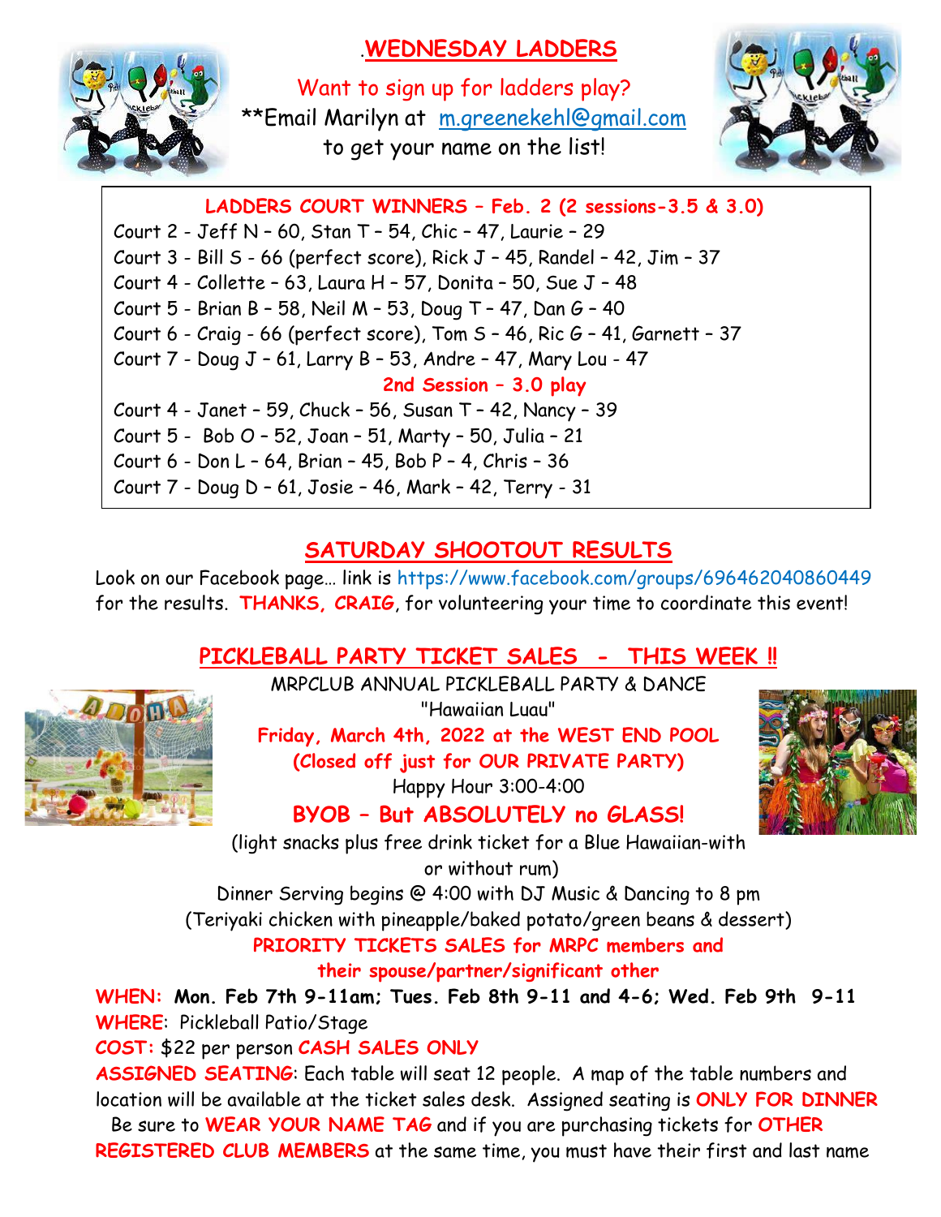# .**WEDNESDAY LADDERS**



Want to sign up for ladders play? \*\*Email Marilyn at [m.greenekehl@gmail.com](mailto:m.greenekehl@gmail.com) to get your name on the list!



**LADDERS COURT WINNERS – Feb. 2 (2 sessions-3.5 & 3.0)** Court 2 - Jeff N – 60, Stan T – 54, Chic – 47, Laurie – 29 Court 3 - Bill S - 66 (perfect score), Rick J – 45, Randel – 42, Jim – 37 Court 4 - Collette – 63, Laura H – 57, Donita – 50, Sue J – 48 Court 5 - Brian B – 58, Neil M – 53, Doug T – 47, Dan G – 40 Court 6 - Craig - 66 (perfect score), Tom  $S - 46$ , Ric  $G - 41$ , Garnett - 37 Court 7 - Doug J – 61, Larry B – 53, Andre – 47, Mary Lou - 47 **2nd Session – 3.0 play** Court 4 - Janet – 59, Chuck – 56, Susan T – 42, Nancy – 39 Court 5 - Bob O – 52, Joan – 51, Marty – 50, Julia – 21 Court 6 - Don L – 64, Brian – 45, Bob P – 4, Chris – 36 Court 7 - Doug D – 61, Josie – 46, Mark – 42, Terry - 31

## **SATURDAY SHOOTOUT RESULTS**

Look on our Facebook page… link is https://www.facebook.com/groups/696462040860449 for the results. **THANKS, CRAIG**, for volunteering your time to coordinate this event!

# **PICKLEBALL PARTY TICKET SALES - THIS WEEK !!**



MRPCLUB ANNUAL PICKLEBALL PARTY & DANCE "Hawaiian Luau"

**Friday, March 4th, 2022 at the WEST END POOL (Closed off just for OUR PRIVATE PARTY)** Happy Hour 3:00-4:00



**BYOB – But ABSOLUTELY no GLASS!**

(light snacks plus free drink ticket for a Blue Hawaiian-with or without rum)

Dinner Serving begins @ 4:00 with DJ Music & Dancing to 8 pm

(Teriyaki chicken with pineapple/baked potato/green beans & dessert)

**PRIORITY TICKETS SALES for MRPC members and their spouse/partner/significant other**

**WHEN: Mon. Feb 7th 9-11am; Tues. Feb 8th 9-11 and 4-6; Wed. Feb 9th 9-11 WHERE**: Pickleball Patio/Stage

**COST:** \$22 per person **CASH SALES ONLY**

**ASSIGNED SEATING**: Each table will seat 12 people. A map of the table numbers and location will be available at the ticket sales desk. Assigned seating is **ONLY FOR DINNER** Be sure to **WEAR YOUR NAME TAG** and if you are purchasing tickets for **OTHER REGISTERED CLUB MEMBERS** at the same time, you must have their first and last name